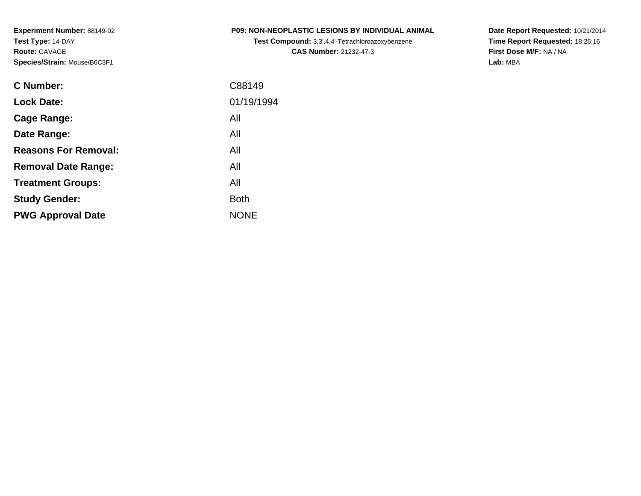| <b>P09: NON-NEOPLASTIC LESIONS BY INDIVIDUAL ANIMAL</b> |
|---------------------------------------------------------|
|---------------------------------------------------------|

**Test Compound:** 3,3',4,4'-Tetrachloroazoxybenzene**CAS Number:** 21232-47-3

**Date Report Requested:** 10/21/2014 **Time Report Requested:** 18:26:16**First Dose M/F:** NA / NA**Lab:** MBA

| C Number:                   | C88149      |
|-----------------------------|-------------|
| <b>Lock Date:</b>           | 01/19/1994  |
| Cage Range:                 | All         |
| Date Range:                 | All         |
| <b>Reasons For Removal:</b> | All         |
| <b>Removal Date Range:</b>  | All         |
| <b>Treatment Groups:</b>    | All         |
| <b>Study Gender:</b>        | <b>Both</b> |
| <b>PWG Approval Date</b>    | <b>NONE</b> |
|                             |             |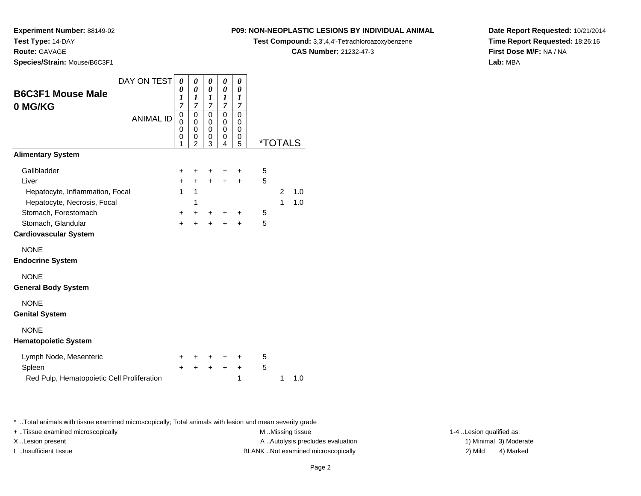**Experiment Number:** 88149-02

**Test Type:** 14-DAY

**Route:** GAVAGE

**Species/Strain:** Mouse/B6C3F1

## **P09: NON-NEOPLASTIC LESIONS BY INDIVIDUAL ANIMAL**

**Test Compound:** 3,3',4,4'-Tetrachloroazoxybenzene

**CAS Number:** 21232-47-3

**Date Report Requested:** 10/21/2014**Time Report Requested:** 18:26:16**First Dose M/F:** NA / NA**Lab:** MBA

| DAY ON TEST                                | 0                                         | 0                   | 0           | 0                                         | 0           |   |                       |     |
|--------------------------------------------|-------------------------------------------|---------------------|-------------|-------------------------------------------|-------------|---|-----------------------|-----|
| <b>B6C3F1 Mouse Male</b>                   | 0<br>1                                    | 0<br>1              | 0<br>1      | 0<br>$\boldsymbol{l}$                     | 0<br>1      |   |                       |     |
| 0 MG/KG                                    | $\overline{7}$                            | $\overline{7}$      | 7           | $\overline{7}$                            | 7           |   |                       |     |
| <b>ANIMAL ID</b>                           | $\mathbf 0$<br>$\mathbf 0$<br>$\mathbf 0$ | 0<br>0<br>0         | 0<br>0<br>0 | $\mathbf 0$<br>$\mathbf 0$<br>$\mathbf 0$ | 0<br>0<br>0 |   |                       |     |
|                                            | 0<br>1                                    | 0<br>$\overline{2}$ | 0<br>3      | 0<br>4                                    | 0<br>5      |   | <i><b>*TOTALS</b></i> |     |
| <b>Alimentary System</b>                   |                                           |                     |             |                                           |             |   |                       |     |
| Gallbladder                                | +                                         | ٠                   | +           | +                                         | ٠           | 5 |                       |     |
| Liver                                      | $+$                                       | $\ddot{}$           | $\ddot{}$   | $\ddot{}$                                 | $\ddot{}$   | 5 |                       |     |
| Hepatocyte, Inflammation, Focal            | 1                                         | $\mathbf{1}$        |             |                                           |             |   | $\overline{2}$        | 1.0 |
| Hepatocyte, Necrosis, Focal                |                                           | 1                   |             |                                           |             |   | 1                     | 1.0 |
| Stomach, Forestomach                       | $\pm$                                     | +                   | ٠           | +                                         | ٠           | 5 |                       |     |
| Stomach, Glandular                         | $\ddot{}$                                 | ÷                   | $\ddot{}$   | $\ddot{}$                                 | $\ddot{}$   | 5 |                       |     |
| <b>Cardiovascular System</b>               |                                           |                     |             |                                           |             |   |                       |     |
| <b>NONE</b>                                |                                           |                     |             |                                           |             |   |                       |     |
| <b>Endocrine System</b>                    |                                           |                     |             |                                           |             |   |                       |     |
| <b>NONE</b>                                |                                           |                     |             |                                           |             |   |                       |     |
| <b>General Body System</b>                 |                                           |                     |             |                                           |             |   |                       |     |
| <b>NONE</b>                                |                                           |                     |             |                                           |             |   |                       |     |
| <b>Genital System</b>                      |                                           |                     |             |                                           |             |   |                       |     |
| <b>NONE</b>                                |                                           |                     |             |                                           |             |   |                       |     |
| <b>Hematopoietic System</b>                |                                           |                     |             |                                           |             |   |                       |     |
| Lymph Node, Mesenteric                     | +                                         |                     |             | +                                         | +           | 5 |                       |     |
| Spleen                                     | $\div$                                    | ÷                   | $\ddot{}$   | $\ddot{}$                                 | $\ddot{}$   | 5 |                       |     |
| Red Pulp, Hematopoietic Cell Proliferation |                                           |                     |             |                                           | 1           |   | 1                     | 1.0 |

\* ..Total animals with tissue examined microscopically; Total animals with lesion and mean severity grade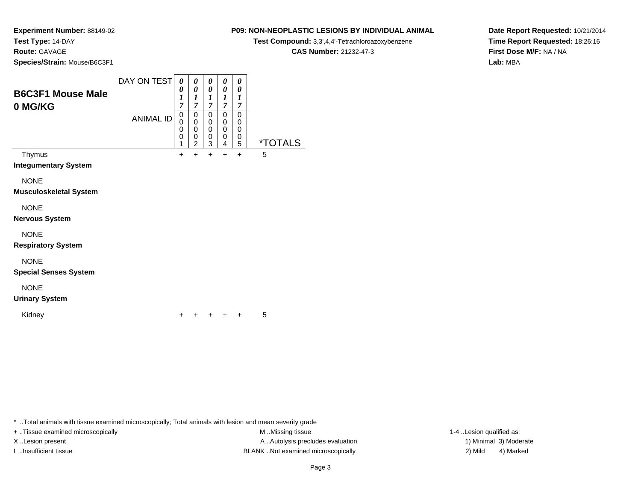## **Route:** GAVAGE

**Species/Strain:** Mouse/B6C3F1

### DAY ON TEST**B6C3F1 Mouse Male0 MG/KG**ANIMAL ID*0 0 1 7* 0 0 0 0 1 $+$ *0 0 1 7*0<br>0<br>0<br>0<br>2  $+$ *0 0 1 7* 0 0 0 0 3 $\ddot{}$ *0 0 1 7* 0 0 0 0 4 $\ddot{}$ *0 0 1 7* 0 0 00<br>ء 5 \*TOTALSThymus <sup>+</sup> <sup>+</sup> <sup>+</sup> <sup>+</sup> + 5 **Integumentary System**NONE **Musculoskeletal System**NONE **Nervous System**NONE **Respiratory System**NONE **Special Senses System**NONE**Urinary System**

\* ..Total animals with tissue examined microscopically; Total animals with lesion and mean severity grade

<sup>+</sup> <sup>+</sup> <sup>+</sup> + 5

 $\mathsf y$ 

Kidney

+ ..Tissue examined microscopically examined microscopically examined as:  $M$  ..Missing tissue 1-4 ..Lesion qualified as: X..Lesion present **A ..**Autolysis precludes evaluation A ..Autolysis precludes evaluation 1) Minimal 3) Moderate I ..Insufficient tissue BLANK ..Not examined microscopically 2) Mild 4) Marked

## **P09: NON-NEOPLASTIC LESIONS BY INDIVIDUAL ANIMALTest Compound:** 3,3',4,4'-Tetrachloroazoxybenzene

**CAS Number:** 21232-47-3

**Date Report Requested:** 10/21/2014**Time Report Requested:** 18:26:16**First Dose M/F:** NA / NA**Lab:** MBA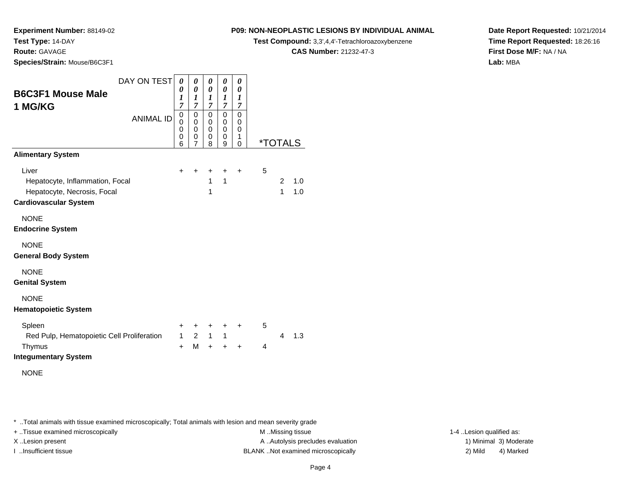**Experiment Number:** 88149-02

**Test Type:** 14-DAY

**Route:** GAVAGE

**Species/Strain:** Mouse/B6C3F1

## **P09: NON-NEOPLASTIC LESIONS BY INDIVIDUAL ANIMAL**

**Test Compound:** 3,3',4,4'-Tetrachloroazoxybenzene

**CAS Number:** 21232-47-3

**Date Report Requested:** 10/21/2014**Time Report Requested:** 18:26:16**First Dose M/F:** NA / NA**Lab:** MBA

| DAY ON TEST                                | 0              | 0                                         | 0            | 0                     | 0         |                |                       |     |
|--------------------------------------------|----------------|-------------------------------------------|--------------|-----------------------|-----------|----------------|-----------------------|-----|
| <b>B6C3F1 Mouse Male</b>                   | 0<br>1         | $\boldsymbol{\theta}$<br>$\boldsymbol{l}$ | 0<br>1       | 0<br>$\boldsymbol{l}$ | 0<br>1    |                |                       |     |
| 1 MG/KG                                    | $\overline{7}$ | 7                                         | 7            | 7                     | 7         |                |                       |     |
| <b>ANIMAL ID</b>                           | 0<br>0         | 0<br>0                                    | 0<br>0       | 0<br>0                | 0<br>0    |                |                       |     |
|                                            | 0<br>0         | $\mathbf 0$<br>0                          | 0<br>0       | 0<br>0                | 0<br>1    |                |                       |     |
|                                            | 6              | 7                                         | 8            | 9                     | 0         |                | <i><b>*TOTALS</b></i> |     |
| <b>Alimentary System</b>                   |                |                                           |              |                       |           |                |                       |     |
| Liver                                      | $\ddot{}$      | ٠                                         | +            | +                     | $\ddot{}$ | 5              |                       |     |
| Hepatocyte, Inflammation, Focal            |                |                                           | 1            | 1                     |           |                | 2                     | 1.0 |
| Hepatocyte, Necrosis, Focal                |                |                                           | 1            |                       |           |                | 1                     | 1.0 |
| <b>Cardiovascular System</b>               |                |                                           |              |                       |           |                |                       |     |
| <b>NONE</b>                                |                |                                           |              |                       |           |                |                       |     |
| <b>Endocrine System</b>                    |                |                                           |              |                       |           |                |                       |     |
| <b>NONE</b>                                |                |                                           |              |                       |           |                |                       |     |
| <b>General Body System</b>                 |                |                                           |              |                       |           |                |                       |     |
| <b>NONE</b>                                |                |                                           |              |                       |           |                |                       |     |
| <b>Genital System</b>                      |                |                                           |              |                       |           |                |                       |     |
| <b>NONE</b>                                |                |                                           |              |                       |           |                |                       |     |
| <b>Hematopoietic System</b>                |                |                                           |              |                       |           |                |                       |     |
| Spleen                                     | $\ddot{}$      | +                                         | +            | +                     | $\ddot{}$ | 5              |                       |     |
| Red Pulp, Hematopoietic Cell Proliferation | $\mathbf{1}$   | $\overline{2}$                            | $\mathbf{1}$ | 1                     |           |                | 4                     | 1.3 |
| Thymus                                     | $\ddot{}$      | M                                         | $+$          | $\ddot{}$             | $\ddot{}$ | $\overline{4}$ |                       |     |
| <b>Integumentary System</b>                |                |                                           |              |                       |           |                |                       |     |
| <b>NONE</b>                                |                |                                           |              |                       |           |                |                       |     |
|                                            |                |                                           |              |                       |           |                |                       |     |

\* ..Total animals with tissue examined microscopically; Total animals with lesion and mean severity grade

+ ..Tissue examined microscopically examined microscopically examined as:  $M$  ..Missing tissue 1-4 ..Lesion qualified as:

X..Lesion present **A ..Autolysis precludes evaluation** A ..Autolysis precludes evaluation 1) Minimal 3) Moderate I ..Insufficient tissue BLANK ..Not examined microscopically 2) Mild 4) Marked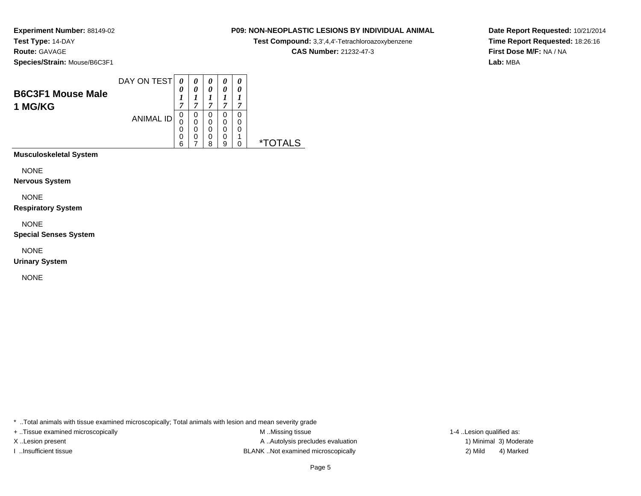**Experiment Number:** 88149-02**Test Type:** 14-DAY**Route:** GAVAGE

**Species/Strain:** Mouse/B6C3F1

| <b>B6C3F1 Mouse Male</b><br>1 MG/KG | DAY ON TEST      | 0<br>−           | 0           | 0<br>0<br>~      | 0<br>0<br>,      | 0<br>0<br>7      |    |
|-------------------------------------|------------------|------------------|-------------|------------------|------------------|------------------|----|
|                                     | <b>ANIMAL ID</b> | 0<br>0<br>0<br>0 | 0<br>0<br>0 | 0<br>0<br>0<br>0 | 0<br>0<br>0<br>0 | 0<br>0<br>0<br>л |    |
|                                     |                  | 6                |             | ጸ                | a                | 0                | *. |

**Musculoskeletal System**

NONE

**Nervous System**

NONE

**Respiratory System**

NONE

**Special Senses System**

NONE

**Urinary System**

NONE

\* ..Total animals with tissue examined microscopically; Total animals with lesion and mean severity grade

+ ..Tissue examined microscopically examined microscopically examined as:  $M$  ..Missing tissue 1-4 ..Lesion qualified as: X..Lesion present **A ..Autolysis precludes evaluation** A ..Autolysis precludes evaluation 1) Minimal 3) Moderate I ..Insufficient tissue BLANK ..Not examined microscopically 2) Mild 4) Marked

**P09: NON-NEOPLASTIC LESIONS BY INDIVIDUAL ANIMALTest Compound:** 3,3',4,4'-Tetrachloroazoxybenzene**CAS Number:** 21232-47-3

**Date Report Requested:** 10/21/2014**Time Report Requested:** 18:26:16**First Dose M/F:** NA / NA**Lab:** MBA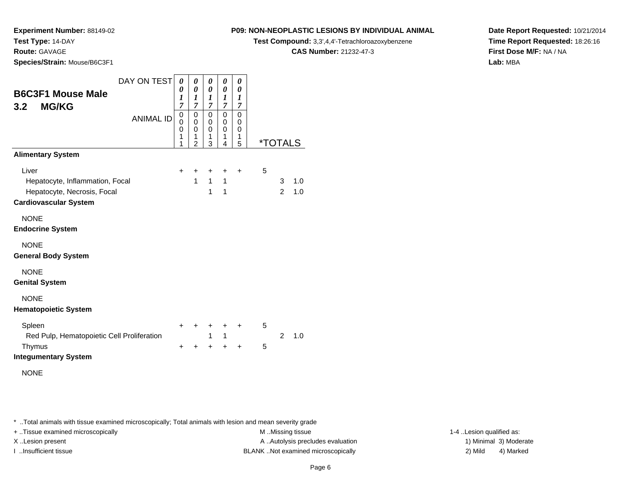**Route:** GAVAGE

**Species/Strain:** Mouse/B6C3F1

## **P09: NON-NEOPLASTIC LESIONS BY INDIVIDUAL ANIMAL**

**Test Compound:** 3,3',4,4'-Tetrachloroazoxybenzene

**CAS Number:** 21232-47-3

**Date Report Requested:** 10/21/2014**Time Report Requested:** 18:26:16**First Dose M/F:** NA / NA**Lab:** MBA

| DAY ON TEST<br><b>B6C3F1 Mouse Male</b><br><b>MG/KG</b><br>3.2                                          | 0<br>0<br>1<br>$\overline{7}$ | 0<br>$\pmb{\theta}$<br>1<br>$\overline{7}$   | 0<br>0<br>1<br>$\overline{7}$   | 0<br>0<br>1<br>7                 | 0<br>0<br>$\boldsymbol{l}$<br>7 |                       |                     |            |
|---------------------------------------------------------------------------------------------------------|-------------------------------|----------------------------------------------|---------------------------------|----------------------------------|---------------------------------|-----------------------|---------------------|------------|
| <b>ANIMAL ID</b>                                                                                        | 0<br>0<br>0<br>1<br>1         | 0<br>0<br>$\mathbf 0$<br>1<br>$\overline{2}$ | 0<br>0<br>$\mathbf 0$<br>1<br>3 | 0<br>0<br>$\mathbf 0$<br>1<br>4  | 0<br>0<br>0<br>1<br>5           | <i><b>*TOTALS</b></i> |                     |            |
| <b>Alimentary System</b>                                                                                |                               |                                              |                                 |                                  |                                 |                       |                     |            |
| Liver<br>Hepatocyte, Inflammation, Focal<br>Hepatocyte, Necrosis, Focal<br><b>Cardiovascular System</b> | +                             | +<br>$\mathbf{1}$                            | +<br>$\mathbf{1}$<br>1          | +<br>$\mathbf{1}$<br>$\mathbf 1$ | $\ddot{}$                       | 5                     | 3<br>$\overline{2}$ | 1.0<br>1.0 |
| <b>NONE</b><br><b>Endocrine System</b>                                                                  |                               |                                              |                                 |                                  |                                 |                       |                     |            |
| <b>NONE</b><br><b>General Body System</b>                                                               |                               |                                              |                                 |                                  |                                 |                       |                     |            |
| <b>NONE</b><br><b>Genital System</b>                                                                    |                               |                                              |                                 |                                  |                                 |                       |                     |            |
| <b>NONE</b><br><b>Hematopoietic System</b>                                                              |                               |                                              |                                 |                                  |                                 |                       |                     |            |
| Spleen<br>Red Pulp, Hematopoietic Cell Proliferation                                                    | $\ddot{}$                     | $\ddot{}$                                    | $\ddot{}$<br>$\mathbf{1}$       | $\ddot{}$<br>$\mathbf{1}$        | $\ddot{}$                       | 5                     | $\mathcal{P}$       | 1.0        |
| Thymus<br><b>Integumentary System</b>                                                                   | $\pm$                         | $\ddot{}$                                    | $\ddot{}$                       | $\ddot{}$                        | $\ddot{}$                       | 5                     |                     |            |
| <b>NONE</b>                                                                                             |                               |                                              |                                 |                                  |                                 |                       |                     |            |

\* ..Total animals with tissue examined microscopically; Total animals with lesion and mean severity grade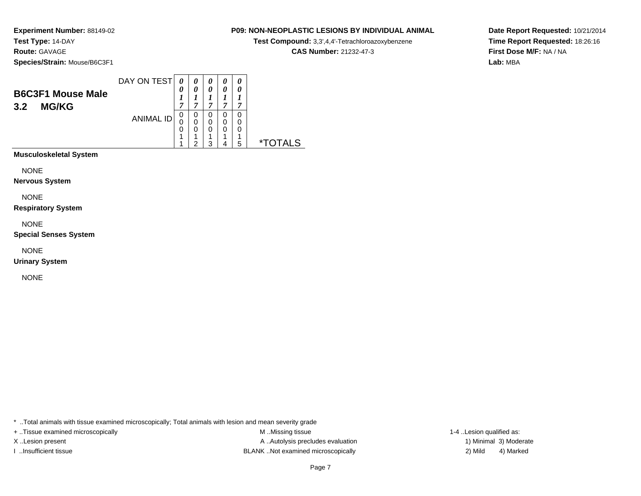**Experiment Number:** 88149-02**Test Type:** 14-DAY**Route:** GAVAGE

**P09: NON-NEOPLASTIC LESIONS BY INDIVIDUAL ANIMAL**

**Test Compound:** 3,3',4,4'-Tetrachloroazoxybenzene

**CAS Number:** 21232-47-3

**Date Report Requested:** 10/21/2014**Time Report Requested:** 18:26:16**First Dose M/F:** NA / NA**Lab:** MBA

**Species/Strain:** Mouse/B6C3F1

| <b>B6C3F1 Mouse Male</b><br><b>MG/KG</b><br>3.2 | DAY ON TEST      | $\boldsymbol{\theta}$<br>0<br>7 | $\theta$<br>0<br>7 | 0<br>0<br>7           | 0<br>7      | 0<br>0<br>⇁      |    |
|-------------------------------------------------|------------------|---------------------------------|--------------------|-----------------------|-------------|------------------|----|
|                                                 | <b>ANIMAL ID</b> | 0<br>0<br>0                     | 0<br>0<br>0<br>◠   | 0<br>0<br>0<br>и<br>っ | U<br>0<br>O | O<br>O<br>0<br>и | *. |
|                                                 |                  |                                 |                    |                       |             | 5                |    |

**Musculoskeletal System**

NONE

**Nervous System**

NONE

**Respiratory System**

NONE

**Special Senses System**

NONE

**Urinary System**

NONE

\* ..Total animals with tissue examined microscopically; Total animals with lesion and mean severity grade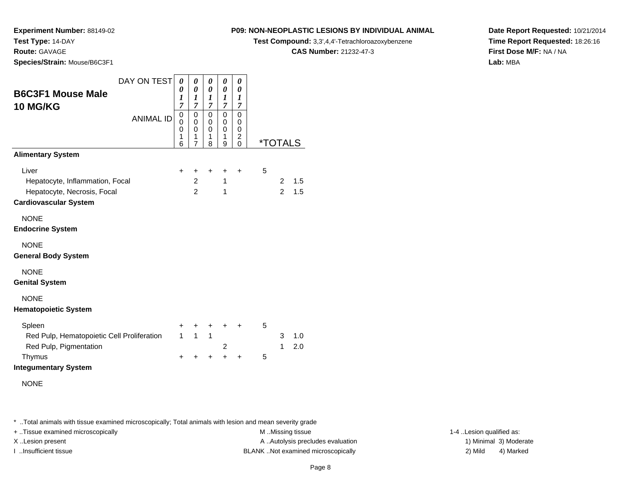**Route:** GAVAGE

**Species/Strain:** Mouse/B6C3F1

## **P09: NON-NEOPLASTIC LESIONS BY INDIVIDUAL ANIMAL**

**Test Compound:** 3,3',4,4'-Tetrachloroazoxybenzene

**CAS Number:** 21232-47-3

**Date Report Requested:** 10/21/2014**Time Report Requested:** 18:26:16**First Dose M/F:** NA / NA**Lab:** MBA

| DAY ON TEST                                | 0                     | 0                                         | 0                                         | 0                                                   | 0                                       |   |                       |     |
|--------------------------------------------|-----------------------|-------------------------------------------|-------------------------------------------|-----------------------------------------------------|-----------------------------------------|---|-----------------------|-----|
| <b>B6C3F1 Mouse Male</b>                   | 0<br>$\boldsymbol{l}$ | $\boldsymbol{\theta}$<br>1                | $\boldsymbol{\theta}$<br>$\boldsymbol{l}$ | $\boldsymbol{\theta}$<br>1                          | $\boldsymbol{\theta}$<br>1              |   |                       |     |
| <b>10 MG/KG</b>                            | $\overline{7}$        | $\overline{7}$                            | $\overline{7}$                            | $\overline{7}$                                      | 7                                       |   |                       |     |
| <b>ANIMAL ID</b>                           | 0<br>0<br>0<br>1<br>6 | $\mathbf 0$<br>0<br>$\mathbf 0$<br>1<br>7 | $\pmb{0}$<br>0<br>$\mathbf 0$<br>1<br>8   | $\mathbf 0$<br>$\mathbf 0$<br>$\mathbf 0$<br>1<br>9 | $\pmb{0}$<br>0<br>0<br>2<br>$\mathbf 0$ |   | <i><b>*TOTALS</b></i> |     |
| <b>Alimentary System</b>                   |                       |                                           |                                           |                                                     |                                         |   |                       |     |
| Liver                                      | +                     | +                                         | $\ddot{}$                                 | +                                                   | $\ddot{}$                               | 5 |                       |     |
| Hepatocyte, Inflammation, Focal            |                       | $\overline{2}$                            |                                           | $\mathbf{1}$                                        |                                         |   | 2                     | 1.5 |
| Hepatocyte, Necrosis, Focal                |                       | $\mathcal{P}$                             |                                           | 1                                                   |                                         |   | $\mathfrak{p}$        | 1.5 |
| <b>Cardiovascular System</b>               |                       |                                           |                                           |                                                     |                                         |   |                       |     |
| <b>NONE</b>                                |                       |                                           |                                           |                                                     |                                         |   |                       |     |
| <b>Endocrine System</b>                    |                       |                                           |                                           |                                                     |                                         |   |                       |     |
| <b>NONE</b>                                |                       |                                           |                                           |                                                     |                                         |   |                       |     |
| <b>General Body System</b>                 |                       |                                           |                                           |                                                     |                                         |   |                       |     |
| <b>NONE</b>                                |                       |                                           |                                           |                                                     |                                         |   |                       |     |
| <b>Genital System</b>                      |                       |                                           |                                           |                                                     |                                         |   |                       |     |
| <b>NONE</b>                                |                       |                                           |                                           |                                                     |                                         |   |                       |     |
| <b>Hematopoietic System</b>                |                       |                                           |                                           |                                                     |                                         |   |                       |     |
| Spleen                                     | +                     | +                                         | +                                         | +                                                   | $\div$                                  | 5 |                       |     |
| Red Pulp, Hematopoietic Cell Proliferation | $\mathbf{1}$          | $\mathbf{1}$                              | $\mathbf{1}$                              |                                                     |                                         |   | 3                     | 1.0 |
| Red Pulp, Pigmentation                     |                       |                                           |                                           | 2                                                   |                                         |   | 1                     | 2.0 |
| Thymus                                     | $\ddot{}$             | $\ddot{}$                                 | $\ddot{}$                                 | $\ddot{}$                                           | $\ddot{}$                               | 5 |                       |     |
| <b>Integumentary System</b>                |                       |                                           |                                           |                                                     |                                         |   |                       |     |
| <b>NONE</b>                                |                       |                                           |                                           |                                                     |                                         |   |                       |     |
|                                            |                       |                                           |                                           |                                                     |                                         |   |                       |     |
|                                            |                       |                                           |                                           |                                                     |                                         |   |                       |     |

\* ..Total animals with tissue examined microscopically; Total animals with lesion and mean severity grade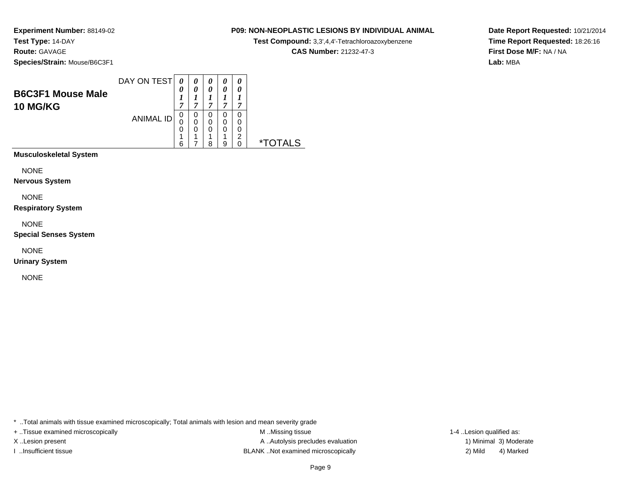## **P09: NON-NEOPLASTIC LESIONS BY INDIVIDUAL ANIMAL**

**Test Compound:** 3,3',4,4'-Tetrachloroazoxybenzene

**CAS Number:** 21232-47-3

**Date Report Requested:** 10/21/2014**Time Report Requested:** 18:26:16**First Dose M/F:** NA / NA**Lab:** MBA

| <b>B6C3F1 Mouse Male</b>      | DAY ON TEST      | 0<br>1                | 0<br>0           | 0<br>0<br>⊥           | 0<br>0                | 0<br>0      |            |
|-------------------------------|------------------|-----------------------|------------------|-----------------------|-----------------------|-------------|------------|
| <b>10 MG/KG</b>               | <b>ANIMAL ID</b> | 7<br>0<br>0<br>0<br>4 | 0<br>0<br>0<br>◢ | 7<br>0<br>0<br>0<br>1 | 7<br>0<br>0<br>0<br>4 | 0<br>0<br>2 |            |
|                               |                  | 6                     |                  | 8                     | 9                     | 0           | ∗⊤<br>AI S |
| <b>Musculoskeletal System</b> |                  |                       |                  |                       |                       |             |            |

NONE

**Nervous System**

NONE

**Respiratory System**

NONE

**Special Senses System**

NONE

**Urinary System**

NONE

\* ..Total animals with tissue examined microscopically; Total animals with lesion and mean severity grade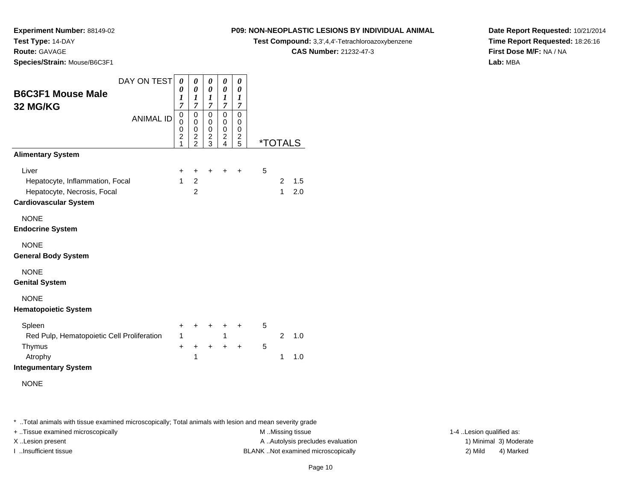**Route:** GAVAGE

**Species/Strain:** Mouse/B6C3F1

## **P09: NON-NEOPLASTIC LESIONS BY INDIVIDUAL ANIMAL**

**Test Compound:** 3,3',4,4'-Tetrachloroazoxybenzene

**CAS Number:** 21232-47-3

**Date Report Requested:** 10/21/2014**Time Report Requested:** 18:26:16**First Dose M/F:** NA / NA**Lab:** MBA

| DAY ON TEST                                                 | $\theta$                           | 0                                                                           | 0                                            | 0                                                         | 0                            |                       |                |     |
|-------------------------------------------------------------|------------------------------------|-----------------------------------------------------------------------------|----------------------------------------------|-----------------------------------------------------------|------------------------------|-----------------------|----------------|-----|
| <b>B6C3F1 Mouse Male</b>                                    | 0<br>$\boldsymbol{l}$              | 0<br>$\boldsymbol{l}$                                                       | $\boldsymbol{\theta}$<br>1                   | 0<br>$\boldsymbol{l}$                                     | 0<br>1                       |                       |                |     |
| 32 MG/KG                                                    | $\overline{7}$                     | $\overline{7}$                                                              | $\overline{7}$                               | $\overline{7}$                                            | 7                            |                       |                |     |
| <b>ANIMAL ID</b>                                            | 0<br>0<br>0<br>$\overline{2}$<br>1 | $\mathbf 0$<br>$\pmb{0}$<br>$\mathbf 0$<br>$\overline{c}$<br>$\overline{2}$ | 0<br>0<br>$\mathbf 0$<br>$\overline{c}$<br>3 | 0<br>0<br>$\mathbf 0$<br>$\overline{c}$<br>$\overline{4}$ | 0<br>0<br>0<br>$\frac{2}{5}$ | <i><b>*TOTALS</b></i> |                |     |
| <b>Alimentary System</b>                                    |                                    |                                                                             |                                              |                                                           |                              |                       |                |     |
| Liver                                                       | +                                  | +                                                                           | +                                            | +                                                         | +                            | 5                     |                |     |
| Hepatocyte, Inflammation, Focal                             | $\mathbf{1}$                       | $\overline{2}$                                                              |                                              |                                                           |                              |                       | $\overline{2}$ | 1.5 |
| Hepatocyte, Necrosis, Focal<br><b>Cardiovascular System</b> |                                    | $\overline{2}$                                                              |                                              |                                                           |                              |                       | $\mathbf{1}$   | 2.0 |
| <b>NONE</b><br><b>Endocrine System</b>                      |                                    |                                                                             |                                              |                                                           |                              |                       |                |     |
| <b>NONE</b><br><b>General Body System</b>                   |                                    |                                                                             |                                              |                                                           |                              |                       |                |     |
| <b>NONE</b><br><b>Genital System</b>                        |                                    |                                                                             |                                              |                                                           |                              |                       |                |     |
| <b>NONE</b><br><b>Hematopoietic System</b>                  |                                    |                                                                             |                                              |                                                           |                              |                       |                |     |
| Spleen                                                      | +                                  | +                                                                           | +                                            | +                                                         | +                            | 5                     |                |     |
| Red Pulp, Hematopoietic Cell Proliferation                  | $\mathbf{1}$                       |                                                                             |                                              | 1                                                         |                              |                       | $\overline{2}$ | 1.0 |
| Thymus                                                      | $\ddot{}$                          | +<br>$\mathbf{1}$                                                           | $\ddot{}$                                    | $\ddot{}$                                                 | $\ddot{}$                    | 5                     | 1              | 1.0 |
| Atrophy<br><b>Integumentary System</b>                      |                                    |                                                                             |                                              |                                                           |                              |                       |                |     |
| <b>NONE</b>                                                 |                                    |                                                                             |                                              |                                                           |                              |                       |                |     |
|                                                             |                                    |                                                                             |                                              |                                                           |                              |                       |                |     |

\* ..Total animals with tissue examined microscopically; Total animals with lesion and mean severity grade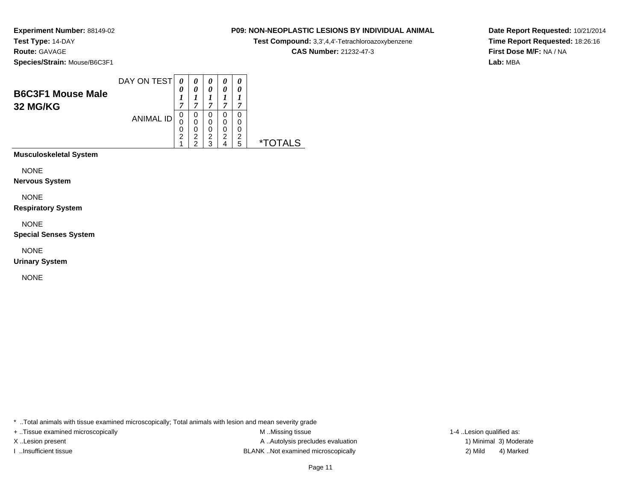## **P09: NON-NEOPLASTIC LESIONS BY INDIVIDUAL ANIMAL**

**Test Compound:** 3,3',4,4'-Tetrachloroazoxybenzene

**CAS Number:** 21232-47-3

**Date Report Requested:** 10/21/2014**Time Report Requested:** 18:26:16**First Dose M/F:** NA / NA**Lab:** MBA

| <b>B6C3F1 Mouse Male</b><br>32 MG/KG | DAY ON TEST      | 0<br>7      | 0<br>0<br>7           | 0<br>0<br>┸<br>7                   | 0<br>0<br>7           | 0<br>0<br>7      |  |
|--------------------------------------|------------------|-------------|-----------------------|------------------------------------|-----------------------|------------------|--|
|                                      | <b>ANIMAL ID</b> | 0<br>0<br>2 | 0<br>0<br>0<br>2<br>◠ | 0<br>0<br>0<br>$\overline{2}$<br>3 | 0<br>0<br>0<br>2<br>4 | 0<br>0<br>2<br>5 |  |
| <b>Musculoskeletal System</b>        |                  |             |                       |                                    |                       |                  |  |

NONE

**Nervous System**

NONE

**Respiratory System**

NONE

**Special Senses System**

NONE

**Urinary System**

NONE

\* ..Total animals with tissue examined microscopically; Total animals with lesion and mean severity grade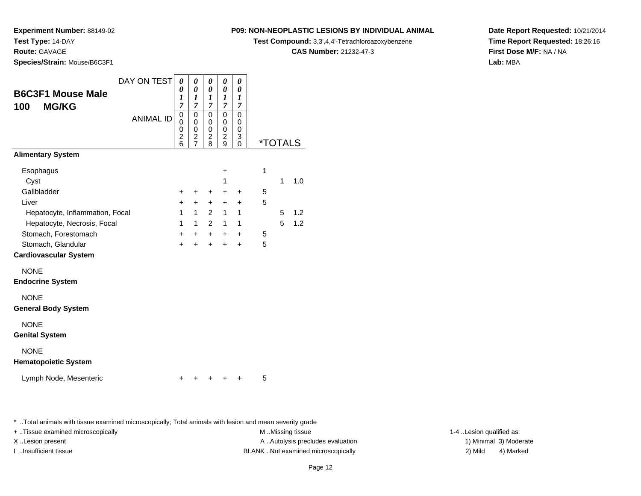**Route:** GAVAGE

**Species/Strain:** Mouse/B6C3F1

## **P09: NON-NEOPLASTIC LESIONS BY INDIVIDUAL ANIMAL**

**Test Compound:** 3,3',4,4'-Tetrachloroazoxybenzene

**CAS Number:** 21232-47-3

**Date Report Requested:** 10/21/2014**Time Report Requested:** 18:26:16**First Dose M/F:** NA / NA**Lab:** MBA

| <b>B6C3F1 Mouse Male</b><br><b>MG/KG</b><br>100 | DAY ON TEST      | 0<br>0<br>1<br>$\overline{7}$                 | 0<br>0<br>1<br>7                                | 0<br>0<br>1<br>7                   | 0<br>0<br>1<br>7                          | 0<br>0<br>1<br>7                                     |   |   |                       |
|-------------------------------------------------|------------------|-----------------------------------------------|-------------------------------------------------|------------------------------------|-------------------------------------------|------------------------------------------------------|---|---|-----------------------|
|                                                 | <b>ANIMAL ID</b> | 0<br>$\mathbf{0}$<br>0<br>$\overline{c}$<br>6 | 0<br>0<br>0<br>$\overline{c}$<br>$\overline{7}$ | 0<br>0<br>0<br>$\overline{c}$<br>8 | $\Omega$<br>0<br>0<br>$\overline{c}$<br>9 | $\Omega$<br>$\Omega$<br>$\mathbf 0$<br>3<br>$\Omega$ |   |   | <i><b>*TOTALS</b></i> |
| <b>Alimentary System</b>                        |                  |                                               |                                                 |                                    |                                           |                                                      |   |   |                       |
| Esophagus<br>Cyst                               |                  |                                               |                                                 |                                    | $\ddot{}$<br>1                            |                                                      | 1 | 1 | 1.0                   |
| Gallbladder                                     |                  | +                                             | +                                               | +                                  | +                                         | ÷                                                    | 5 |   |                       |
| Liver                                           |                  | $\ddot{}$                                     | $+$                                             | $\ddot{}$                          | $\ddot{}$                                 | $\ddot{}$                                            | 5 |   |                       |
| Hepatocyte, Inflammation, Focal                 |                  | $\mathbf{1}$                                  | $\mathbf{1}$                                    | $\overline{2}$                     | $\mathbf{1}$                              | $\mathbf{1}$                                         |   | 5 | 1.2                   |
| Hepatocyte, Necrosis, Focal                     |                  | $\mathbf{1}$                                  | $\mathbf{1}$                                    | $\overline{2}$                     | $\mathbf{1}$                              | 1                                                    |   | 5 | 1.2                   |
| Stomach, Forestomach                            |                  | $+$                                           | $+$                                             | $+$                                | $+$                                       | $\ddot{}$                                            | 5 |   |                       |
| Stomach, Glandular                              |                  | $\ddot{}$                                     | $\ddot{}$                                       | $\ddot{}$                          | $\ddot{}$                                 | $\ddot{}$                                            | 5 |   |                       |
| <b>Cardiovascular System</b>                    |                  |                                               |                                                 |                                    |                                           |                                                      |   |   |                       |
| <b>NONE</b><br><b>Endocrine System</b>          |                  |                                               |                                                 |                                    |                                           |                                                      |   |   |                       |
| <b>NONE</b><br><b>General Body System</b>       |                  |                                               |                                                 |                                    |                                           |                                                      |   |   |                       |
| <b>NONE</b><br><b>Genital System</b>            |                  |                                               |                                                 |                                    |                                           |                                                      |   |   |                       |
| <b>NONE</b><br><b>Hematopoietic System</b>      |                  |                                               |                                                 |                                    |                                           |                                                      |   |   |                       |
| Lymph Node, Mesenteric                          |                  | +                                             | ٠                                               | +                                  | +                                         | +                                                    | 5 |   |                       |

\* ..Total animals with tissue examined microscopically; Total animals with lesion and mean severity grade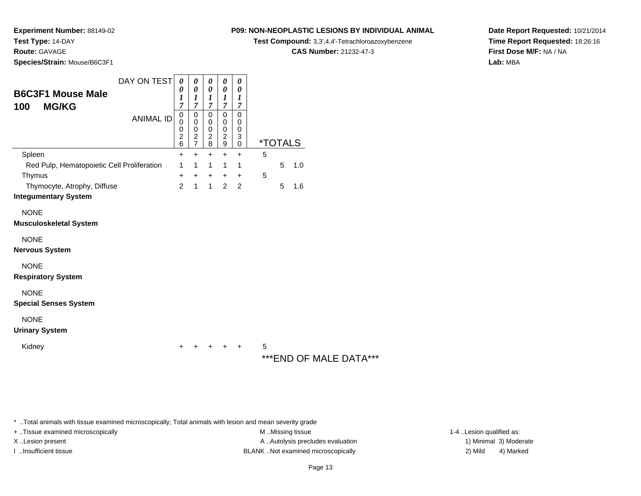**Experiment Number:** 88149-02

**Test Type:** 14-DAY

**Route:** GAVAGE

**Species/Strain:** Mouse/B6C3F1

## **P09: NON-NEOPLASTIC LESIONS BY INDIVIDUAL ANIMAL**

**Test Compound:** 3,3',4,4'-Tetrachloroazoxybenzene

**CAS Number:** 21232-47-3

**Date Report Requested:** 10/21/2014**Time Report Requested:** 18:26:16**First Dose M/F:** NA / NA**Lab:** MBA

|                                                 | DAY ON TESTI     | 0                                  | 0                             | 0                                  | 0                     | 0                     |   |                       |     |
|-------------------------------------------------|------------------|------------------------------------|-------------------------------|------------------------------------|-----------------------|-----------------------|---|-----------------------|-----|
| <b>B6C3F1 Mouse Male</b><br><b>MG/KG</b><br>100 |                  | 0<br>7                             | 0<br>1<br>7                   | 0<br>7                             | 0<br>7                | 0<br>7                |   |                       |     |
|                                                 | <b>ANIMAL ID</b> | 0<br>0<br>0<br>$\overline{2}$<br>6 | 0<br>0<br>0<br>$\overline{2}$ | 0<br>0<br>0<br>$\overline{2}$<br>8 | Ω<br>0<br>0<br>2<br>9 | 0<br>0<br>0<br>3<br>0 |   | <i><b>*TOTALS</b></i> |     |
| Spleen                                          |                  | +                                  | +                             |                                    |                       | ┿                     | 5 |                       |     |
| Red Pulp, Hematopoietic Cell Proliferation      |                  | 1                                  |                               |                                    |                       |                       |   | 5                     | 1.0 |
| Thymus                                          |                  | ÷                                  | +                             |                                    |                       |                       | 5 |                       |     |
| Thymocyte, Atrophy, Diffuse                     |                  | 2                                  |                               |                                    | 2                     | 2                     |   | 5                     | 1.6 |
|                                                 |                  |                                    |                               |                                    |                       |                       |   |                       |     |

**Integumentary System**

NONE

**Musculoskeletal System**

NONE

**Nervous System**

NONE

**Respiratory System**

NONE

**Special Senses System**

NONE

## **Urinary System**

Kidney

 $\mathsf y$ <sup>+</sup> <sup>+</sup> <sup>+</sup> + 5

# \*\*\*END OF MALE DATA\*\*\*

\* ..Total animals with tissue examined microscopically; Total animals with lesion and mean severity grade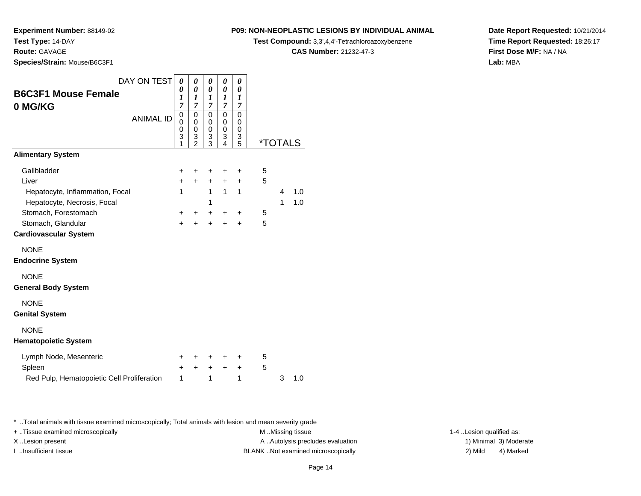**Route:** GAVAGE

**Species/Strain:** Mouse/B6C3F1

## **P09: NON-NEOPLASTIC LESIONS BY INDIVIDUAL ANIMAL**

**Test Compound:** 3,3',4,4'-Tetrachloroazoxybenzene

**CAS Number:** 21232-47-3

**Date Report Requested:** 10/21/2014**Time Report Requested:** 18:26:17**First Dose M/F:** NA / NA**Lab:** MBA

| DAY ON TEST                                | 0         | 0              | 0                   | 0                     | 0                   |   |                       |     |
|--------------------------------------------|-----------|----------------|---------------------|-----------------------|---------------------|---|-----------------------|-----|
| <b>B6C3F1 Mouse Female</b>                 | 0<br>1    | 0<br>1         | 0<br>1              | 0<br>$\boldsymbol{l}$ | 0<br>1              |   |                       |     |
| 0 MG/KG                                    | 7         | $\overline{7}$ | $\overline{7}$      | 7                     | $\overline{7}$      |   |                       |     |
| <b>ANIMAL ID</b>                           | 0<br>0    | 0<br>0         | 0<br>0              | $\mathbf 0$<br>0      | $\mathbf 0$<br>0    |   |                       |     |
|                                            | 0         | 0              | 0                   | $\mathbf 0$           | $\mathbf 0$         |   |                       |     |
|                                            | 3<br>1    | $\frac{3}{2}$  | 3<br>$\overline{3}$ | 3<br>$\overline{4}$   | 3<br>$\overline{5}$ |   | <i><b>*TOTALS</b></i> |     |
| <b>Alimentary System</b>                   |           |                |                     |                       |                     |   |                       |     |
| Gallbladder                                | $\pm$     | +              | ٠                   | +                     | ٠                   | 5 |                       |     |
| Liver                                      | $\ddot{}$ | $\ddot{}$      | $\ddot{}$           | $\ddot{}$             | $\ddot{}$           | 5 |                       |     |
| Hepatocyte, Inflammation, Focal            | 1         |                | 1                   | 1                     | 1                   |   | 4                     | 1.0 |
| Hepatocyte, Necrosis, Focal                |           |                | 1                   |                       |                     |   | 1                     | 1.0 |
| Stomach, Forestomach                       | ٠         | ٠              | +                   | $\ddot{}$             | +                   | 5 |                       |     |
| Stomach, Glandular                         | $\ddot{}$ | $\ddot{}$      | $\ddot{}$           | $\ddot{}$             | $\ddot{}$           | 5 |                       |     |
| <b>Cardiovascular System</b>               |           |                |                     |                       |                     |   |                       |     |
| <b>NONE</b>                                |           |                |                     |                       |                     |   |                       |     |
| <b>Endocrine System</b>                    |           |                |                     |                       |                     |   |                       |     |
| <b>NONE</b>                                |           |                |                     |                       |                     |   |                       |     |
| <b>General Body System</b>                 |           |                |                     |                       |                     |   |                       |     |
| <b>NONE</b>                                |           |                |                     |                       |                     |   |                       |     |
| <b>Genital System</b>                      |           |                |                     |                       |                     |   |                       |     |
| <b>NONE</b>                                |           |                |                     |                       |                     |   |                       |     |
| <b>Hematopoietic System</b>                |           |                |                     |                       |                     |   |                       |     |
| Lymph Node, Mesenteric                     | ٠         | ٠              | ٠                   | ٠                     | ٠                   | 5 |                       |     |
| Spleen                                     | +         | ÷              | $\ddot{}$           | $\ddot{}$             | $\ddot{}$           | 5 |                       |     |
| Red Pulp, Hematopoietic Cell Proliferation | 1         |                | 1                   |                       | 1                   |   | 3                     | 1.0 |

\* ..Total animals with tissue examined microscopically; Total animals with lesion and mean severity grade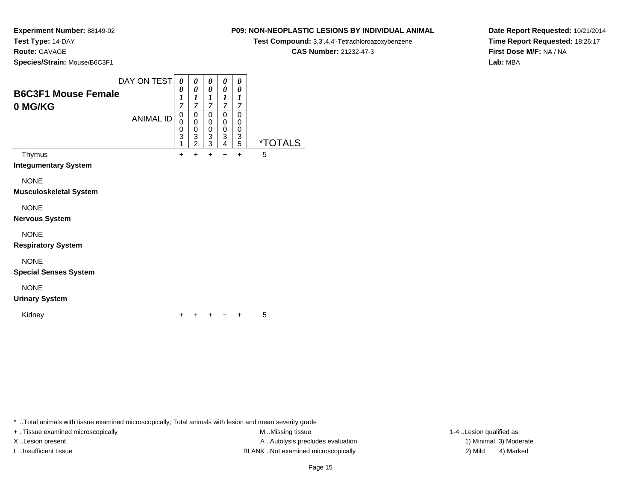## **Route:** GAVAGE

**Species/Strain:** Mouse/B6C3F1

### DAY ON TEST**B6C3F1 Mouse Female0 MG/KG**ANIMAL ID*0 0 1 7* 0 0 0 3 1 $+$ *0 0 1 7*0<br>0<br>0<br>3<br>2  $+$ *0 0 1 7* 0 0 0 3 3 $\ddot{}$ *0 0 1 7* 0 0 0 3 4 $\ddot{}$ *0 0 1 7* 0 0 0 3 5 \*TOTALSThymus <sup>+</sup> <sup>+</sup> <sup>+</sup> <sup>+</sup> + 5 **Integumentary System**NONE **Musculoskeletal System**NONE **Nervous System**NONE **Respiratory System**NONE **Special Senses System**NONE **Urinary System**Kidney $\mathsf y$ <sup>+</sup> <sup>+</sup> <sup>+</sup> + 5

\* ..Total animals with tissue examined microscopically; Total animals with lesion and mean severity grade

+ ..Tissue examined microscopically examined microscopically examined as:  $M$  ..Missing tissue 1-4 ..Lesion qualified as: X..Lesion present **A ..**Autolysis precludes evaluation A ..Autolysis precludes evaluation 1) Minimal 3) Moderate I ..Insufficient tissue BLANK ..Not examined microscopically 2) Mild 4) Marked

# **P09: NON-NEOPLASTIC LESIONS BY INDIVIDUAL ANIMAL**

**Test Compound:** 3,3',4,4'-Tetrachloroazoxybenzene

**CAS Number:** 21232-47-3

**Date Report Requested:** 10/21/2014**Time Report Requested:** 18:26:17**First Dose M/F:** NA / NA**Lab:** MBA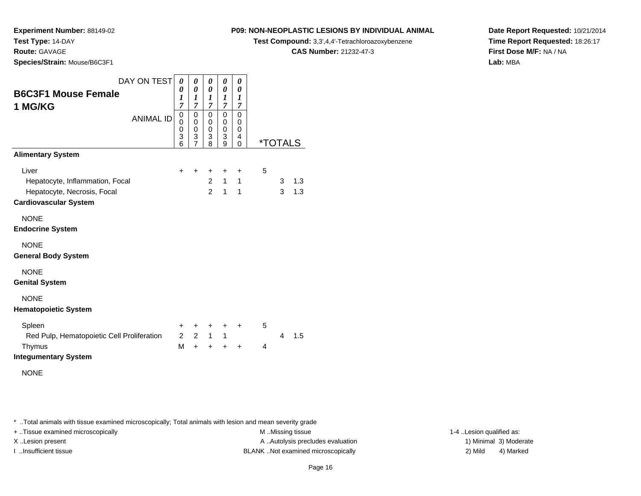**Experiment Number:** 88149-02

**Test Type:** 14-DAY

**Route:** GAVAGE

**Species/Strain:** Mouse/B6C3F1

## **P09: NON-NEOPLASTIC LESIONS BY INDIVIDUAL ANIMAL**

**Test Compound:** 3,3',4,4'-Tetrachloroazoxybenzene

**CAS Number:** 21232-47-3

**Date Report Requested:** 10/21/2014**Time Report Requested:** 18:26:17**First Dose M/F:** NA / NA**Lab:** MBA

| DAY ON TEST                                | 0                     | 0                                         | 0                | $\boldsymbol{\theta}$                     | 0                |   |                       |     |
|--------------------------------------------|-----------------------|-------------------------------------------|------------------|-------------------------------------------|------------------|---|-----------------------|-----|
| <b>B6C3F1 Mouse Female</b>                 | 0<br>$\boldsymbol{l}$ | $\boldsymbol{\theta}$<br>$\boldsymbol{l}$ | 0<br>1           | $\boldsymbol{\theta}$<br>$\boldsymbol{l}$ | 0<br>1           |   |                       |     |
| 1 MG/KG                                    | $\overline{7}$        | $\overline{7}$                            | $\overline{7}$   | $\overline{7}$                            | $\overline{7}$   |   |                       |     |
| <b>ANIMAL ID</b>                           | 0<br>0                | 0<br>$\mathbf 0$                          | 0<br>0           | 0<br>0                                    | 0<br>0           |   |                       |     |
|                                            | $\mathbf 0$<br>3      | $\mathbf 0$<br>3                          | $\mathbf 0$<br>3 | $\mathbf 0$<br>3                          | $\mathbf 0$<br>4 |   |                       |     |
|                                            | 6                     | $\overline{7}$                            | 8                | 9                                         | $\Omega$         |   | <i><b>*TOTALS</b></i> |     |
| <b>Alimentary System</b>                   |                       |                                           |                  |                                           |                  |   |                       |     |
| Liver                                      | $\pm$                 | +                                         | +                | +                                         | +                | 5 |                       |     |
| Hepatocyte, Inflammation, Focal            |                       |                                           | $\overline{2}$   | $\mathbf{1}$                              | $\mathbf{1}$     |   | 3                     | 1.3 |
| Hepatocyte, Necrosis, Focal                |                       |                                           | $\overline{2}$   | $\mathbf{1}$                              | $\mathbf{1}$     |   | 3                     | 1.3 |
| <b>Cardiovascular System</b>               |                       |                                           |                  |                                           |                  |   |                       |     |
| <b>NONE</b>                                |                       |                                           |                  |                                           |                  |   |                       |     |
| <b>Endocrine System</b>                    |                       |                                           |                  |                                           |                  |   |                       |     |
| <b>NONE</b>                                |                       |                                           |                  |                                           |                  |   |                       |     |
| <b>General Body System</b>                 |                       |                                           |                  |                                           |                  |   |                       |     |
| <b>NONE</b>                                |                       |                                           |                  |                                           |                  |   |                       |     |
| <b>Genital System</b>                      |                       |                                           |                  |                                           |                  |   |                       |     |
| <b>NONE</b>                                |                       |                                           |                  |                                           |                  |   |                       |     |
| <b>Hematopoietic System</b>                |                       |                                           |                  |                                           |                  |   |                       |     |
| Spleen                                     | +                     | $\ddot{}$                                 | $\ddot{}$        | $\ddot{}$                                 | $\ddot{}$        | 5 |                       |     |
| Red Pulp, Hematopoietic Cell Proliferation | $\overline{2}$        | $2^{\circ}$                               | $1 \quad$        | $\mathbf{1}$                              |                  |   | 4                     | 1.5 |
| Thymus                                     | M                     | $+$                                       | $+$              | $\ddot{}$                                 | $\ddot{}$        | 4 |                       |     |
| <b>Integumentary System</b>                |                       |                                           |                  |                                           |                  |   |                       |     |
| <b>NONE</b>                                |                       |                                           |                  |                                           |                  |   |                       |     |
|                                            |                       |                                           |                  |                                           |                  |   |                       |     |

\* ..Total animals with tissue examined microscopically; Total animals with lesion and mean severity grade

+ ..Tissue examined microscopically examined microscopically examined as:  $M$  ..Missing tissue 1-4 ..Lesion qualified as:

X..Lesion present **A ..Autolysis precludes evaluation** A ..Autolysis precludes evaluation 1) Minimal 3) Moderate I ..Insufficient tissue BLANK ..Not examined microscopically 2) Mild 4) Marked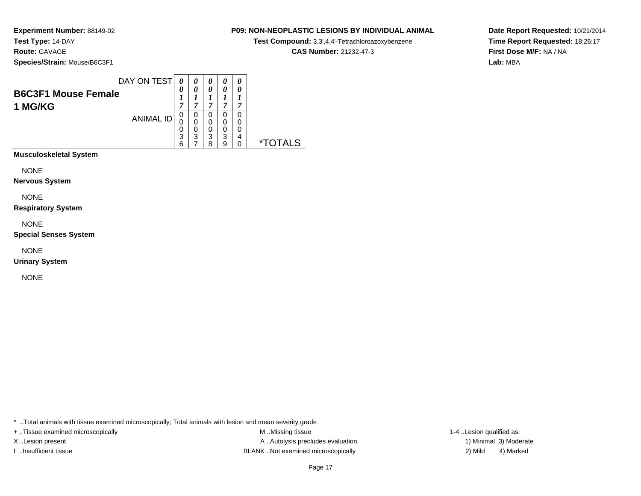**Experiment Number:** 88149-02**Test Type:** 14-DAY**Route:** GAVAGE

**Species/Strain:** Mouse/B6C3F1

| DAY ON TEST         |                  | $\theta$ | 0 | 0 | 0 | 0 |
|---------------------|------------------|----------|---|---|---|---|
|                     |                  | 0        | 0 | 0 | 0 | 0 |
| B6C3F1 Mouse Female |                  |          |   |   |   |   |
| 1 MG/KG             |                  | 7        | ~ | 7 | 7 | 7 |
|                     |                  | U        | 0 | 0 | 0 | 0 |
|                     | <b>ANIMAL ID</b> |          | 0 | 0 | 0 | 0 |
|                     |                  | 0        | 0 | 0 | 0 | 0 |
|                     |                  | 3        | 3 | 3 | 3 | 4 |
|                     |                  | 6        |   | 8 | 9 | 0 |

**Musculoskeletal System**

NONE

**Nervous System**

NONE

**Respiratory System**

NONE

**Special Senses System**

NONE

**Urinary System**

NONE

\* ..Total animals with tissue examined microscopically; Total animals with lesion and mean severity grade

+ ..Tissue examined microscopically examined microscopically examined as:  $M$  ..Missing tissue 1-4 ..Lesion qualified as: X..Lesion present **A ..Autolysis precludes evaluation** A ..Autolysis precludes evaluation 1) Minimal 3) Moderate I ..Insufficient tissue BLANK ..Not examined microscopically 2) Mild 4) Marked

**Date Report Requested:** 10/21/2014**Time Report Requested:** 18:26:17**First Dose M/F:** NA / NA**Lab:** MBA

## **P09: NON-NEOPLASTIC LESIONS BY INDIVIDUAL ANIMAL**

**Test Compound:** 3,3',4,4'-Tetrachloroazoxybenzene

**CAS Number:** 21232-47-3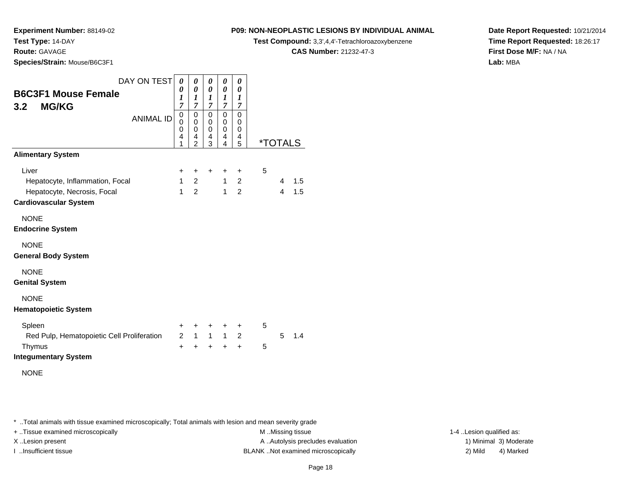**Route:** GAVAGE

**Species/Strain:** Mouse/B6C3F1

## **P09: NON-NEOPLASTIC LESIONS BY INDIVIDUAL ANIMAL**

**Test Compound:** 3,3',4,4'-Tetrachloroazoxybenzene

**CAS Number:** 21232-47-3

**Date Report Requested:** 10/21/2014**Time Report Requested:** 18:26:17**First Dose M/F:** NA / NA**Lab:** MBA

| DAY ON TEST                                | 0              | 0                          | 0                          | 0                     | 0                       |   |                       |     |
|--------------------------------------------|----------------|----------------------------|----------------------------|-----------------------|-------------------------|---|-----------------------|-----|
| <b>B6C3F1 Mouse Female</b>                 | 0<br>1         | 0<br>$\boldsymbol{l}$      | 0<br>1                     | 0<br>$\boldsymbol{l}$ | 0<br>1                  |   |                       |     |
| <b>MG/KG</b><br>3.2 <sub>2</sub>           | $\overline{7}$ | $\overline{7}$             | $\overline{7}$             | $\overline{7}$        | $\overline{7}$          |   |                       |     |
| <b>ANIMAL ID</b>                           | 0<br>$\Omega$  | $\mathbf 0$<br>$\mathbf 0$ | $\mathbf 0$<br>$\mathbf 0$ | 0<br>$\mathbf 0$      | $\mathbf 0$<br>$\Omega$ |   |                       |     |
|                                            | 0              | 0                          | 0                          | 0                     | 0                       |   |                       |     |
|                                            | 4<br>1         | 4<br>$\overline{2}$        | 4<br>3                     | 4<br>4                | 4<br>5                  |   | <i><b>*TOTALS</b></i> |     |
| <b>Alimentary System</b>                   |                |                            |                            |                       |                         |   |                       |     |
| Liver                                      | $\ddot{}$      | $\ddot{}$                  | $\ddot{}$                  | $\ddot{}$             | $\ddot{}$               | 5 |                       |     |
| Hepatocyte, Inflammation, Focal            | $\mathbf{1}$   | $\overline{2}$             |                            | $\mathbf{1}$          | $\overline{2}$          |   | 4                     | 1.5 |
| Hepatocyte, Necrosis, Focal                | $\mathbf{1}$   | $\overline{2}$             |                            | 1                     | $\overline{2}$          |   | $\overline{4}$        | 1.5 |
| <b>Cardiovascular System</b>               |                |                            |                            |                       |                         |   |                       |     |
| <b>NONE</b>                                |                |                            |                            |                       |                         |   |                       |     |
| <b>Endocrine System</b>                    |                |                            |                            |                       |                         |   |                       |     |
| <b>NONE</b>                                |                |                            |                            |                       |                         |   |                       |     |
| <b>General Body System</b>                 |                |                            |                            |                       |                         |   |                       |     |
| <b>NONE</b>                                |                |                            |                            |                       |                         |   |                       |     |
| <b>Genital System</b>                      |                |                            |                            |                       |                         |   |                       |     |
| <b>NONE</b>                                |                |                            |                            |                       |                         |   |                       |     |
| <b>Hematopoietic System</b>                |                |                            |                            |                       |                         |   |                       |     |
| Spleen                                     | $\ddot{}$      | $\ddot{}$                  | +                          | +                     | $\ddot{}$               | 5 |                       |     |
| Red Pulp, Hematopoietic Cell Proliferation | $\mathcal{P}$  | $\mathbf{1}$               | $\mathbf{1}$               | $\mathbf{1}$          | 2                       |   | 5                     | 1.4 |
| Thymus                                     | $\ddot{}$      | $\ddot{}$                  | $\ddot{}$                  | $\ddot{}$             | $\ddot{}$               | 5 |                       |     |
| <b>Integumentary System</b>                |                |                            |                            |                       |                         |   |                       |     |
| <b>NONE</b>                                |                |                            |                            |                       |                         |   |                       |     |
|                                            |                |                            |                            |                       |                         |   |                       |     |

\* ..Total animals with tissue examined microscopically; Total animals with lesion and mean severity grade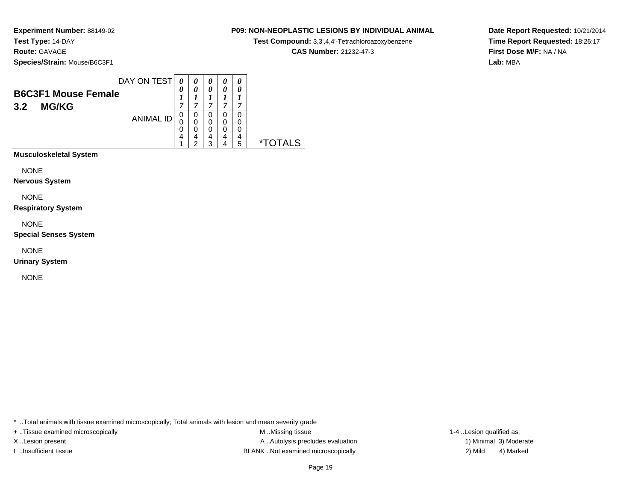**Experiment Number:** 88149-02**Test Type:** 14-DAY**Route:** GAVAGE

**Species/Strain:** Mouse/B6C3F1

|     |                            | DAY ON TEST      | 0 | 0 | 0 | 0 | 0 |
|-----|----------------------------|------------------|---|---|---|---|---|
|     | <b>B6C3F1 Mouse Female</b> |                  | 0 | 0 | 0 |   | 0 |
|     |                            |                  |   |   |   |   |   |
| 3.2 | <b>MG/KG</b>               |                  | 7 | ~ | 7 | ~ | 7 |
|     |                            |                  | 0 | 0 | 0 | 0 | 0 |
|     |                            | <b>ANIMAL ID</b> |   | 0 | 0 | 0 |   |
|     |                            |                  | 0 | 0 | 0 | 0 |   |
|     |                            |                  | 4 | 4 | 4 | 4 | 4 |
|     |                            |                  |   | c | ว |   | 5 |

**Musculoskeletal System**

NONE

**Nervous System**

NONE

**Respiratory System**

NONE

**Special Senses System**

NONE

**Urinary System**

NONE

\* ..Total animals with tissue examined microscopically; Total animals with lesion and mean severity grade

+ ..Tissue examined microscopically examined microscopically examined as:  $M$  ..Missing tissue 1-4 ..Lesion qualified as: X..Lesion present **A ..Autolysis precludes evaluation** A ..Autolysis precludes evaluation 1) Minimal 3) Moderate I ..Insufficient tissue BLANK ..Not examined microscopically 2) Mild 4) Marked

**Date Report Requested:** 10/21/2014**Time Report Requested:** 18:26:17**First Dose M/F:** NA / NA**Lab:** MBA

## **P09: NON-NEOPLASTIC LESIONS BY INDIVIDUAL ANIMAL**

**Test Compound:** 3,3',4,4'-Tetrachloroazoxybenzene

**CAS Number:** 21232-47-3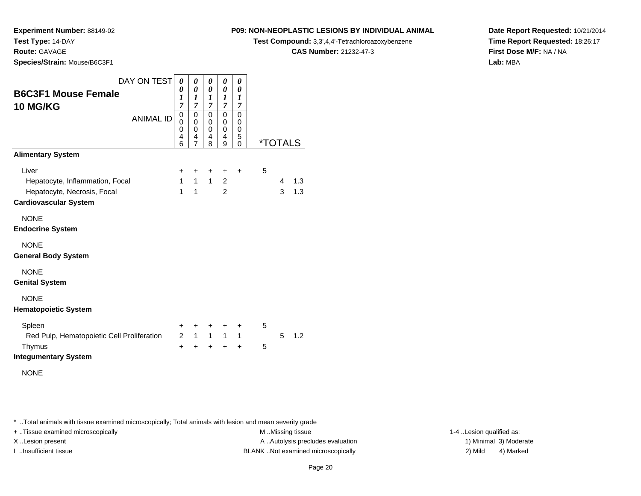## **Route:** GAVAGE

**Species/Strain:** Mouse/B6C3F1

## **P09: NON-NEOPLASTIC LESIONS BY INDIVIDUAL ANIMAL**

**Test Compound:** 3,3',4,4'-Tetrachloroazoxybenzene

**CAS Number:** 21232-47-3

**Date Report Requested:** 10/21/2014**Time Report Requested:** 18:26:17**First Dose M/F:** NA / NA**Lab:** MBA

| DAY ON TEST<br><b>B6C3F1 Mouse Female</b>                                                               | 0<br>0<br>$\boldsymbol{l}$                                                 | 0<br>0<br>1                                       | 0<br>0<br>1                                                 | 0<br>0<br>1                                   | 0<br>0<br>1                           |                           |
|---------------------------------------------------------------------------------------------------------|----------------------------------------------------------------------------|---------------------------------------------------|-------------------------------------------------------------|-----------------------------------------------|---------------------------------------|---------------------------|
| <b>10 MG/KG</b><br><b>ANIMAL ID</b>                                                                     | $\overline{7}$<br>$\boldsymbol{0}$<br>$\mathbf 0$<br>$\mathbf 0$<br>4<br>6 | 7<br>0<br>0<br>$\mathbf 0$<br>4<br>$\overline{7}$ | $\overline{7}$<br>$\mathbf 0$<br>0<br>$\mathbf 0$<br>4<br>8 | 7<br>0<br>0<br>0<br>4<br>9                    | 7<br>0<br>0<br>0<br>5<br>$\mathbf{0}$ | <i><b>*TOTALS</b></i>     |
| <b>Alimentary System</b>                                                                                |                                                                            |                                                   |                                                             |                                               |                                       |                           |
| Liver<br>Hepatocyte, Inflammation, Focal<br>Hepatocyte, Necrosis, Focal<br><b>Cardiovascular System</b> | +<br>1<br>$\mathbf{1}$                                                     | +<br>$\mathbf{1}$<br>$\mathbf{1}$                 | +<br>1                                                      | $\ddot{}$<br>$\overline{2}$<br>$\overline{2}$ | $\ddot{}$                             | 5<br>1.3<br>4<br>3<br>1.3 |
| <b>NONE</b><br><b>Endocrine System</b>                                                                  |                                                                            |                                                   |                                                             |                                               |                                       |                           |
| <b>NONE</b><br><b>General Body System</b>                                                               |                                                                            |                                                   |                                                             |                                               |                                       |                           |
| <b>NONE</b><br><b>Genital System</b>                                                                    |                                                                            |                                                   |                                                             |                                               |                                       |                           |
| <b>NONE</b><br><b>Hematopoietic System</b>                                                              |                                                                            |                                                   |                                                             |                                               |                                       |                           |
| Spleen<br>Red Pulp, Hematopoietic Cell Proliferation<br>Thymus                                          | +<br>$\mathcal{P}$<br>$\ddot{}$                                            | +<br>$\overline{1}$<br>$+$                        | +<br>$1 \quad$<br>$\ddot{}$                                 | +<br>1<br>$\ddot{}$                           | +<br>$\mathbf{1}$<br>$\ddot{}$        | 5<br>5<br>1.2<br>5        |
| <b>Integumentary System</b>                                                                             |                                                                            |                                                   |                                                             |                                               |                                       |                           |
| <b>NONE</b>                                                                                             |                                                                            |                                                   |                                                             |                                               |                                       |                           |

\* ..Total animals with tissue examined microscopically; Total animals with lesion and mean severity grade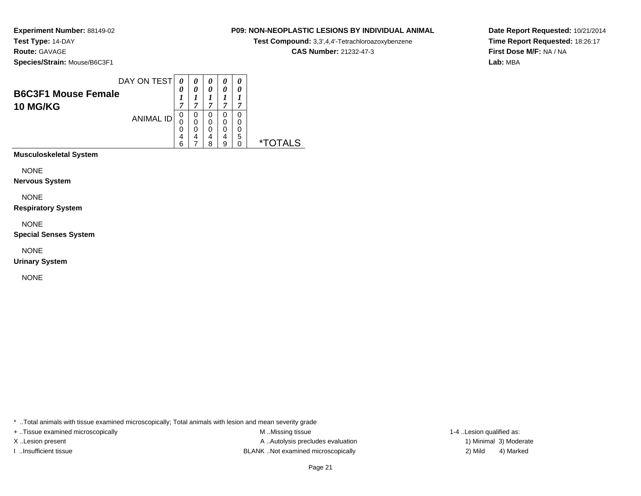## **P09: NON-NEOPLASTIC LESIONS BY INDIVIDUAL ANIMAL**

**Test Compound:** 3,3',4,4'-Tetrachloroazoxybenzene

**CAS Number:** 21232-47-3

**Date Report Requested:** 10/21/2014**Time Report Requested:** 18:26:17**First Dose M/F:** NA / NA**Lab:** MBA

| <b>B6C3F1 Mouse Female</b><br><b>10 MG/KG</b> | DAY ON TEST      | 0<br>7                | 0                | 0<br>0<br>~           | 0<br>0<br>,      | 0 |  |
|-----------------------------------------------|------------------|-----------------------|------------------|-----------------------|------------------|---|--|
|                                               | <b>ANIMAL ID</b> | 0<br>0<br>0<br>4<br>6 | 0<br>0<br>0<br>4 | 0<br>0<br>0<br>4<br>я | 0<br>0<br>4<br>a | 5 |  |
| <b>Musculoskeletal System</b>                 |                  |                       |                  |                       |                  |   |  |

NONE

**Nervous System**

NONE

**Respiratory System**

NONE

**Special Senses System**

NONE

**Urinary System**

NONE

\* ..Total animals with tissue examined microscopically; Total animals with lesion and mean severity grade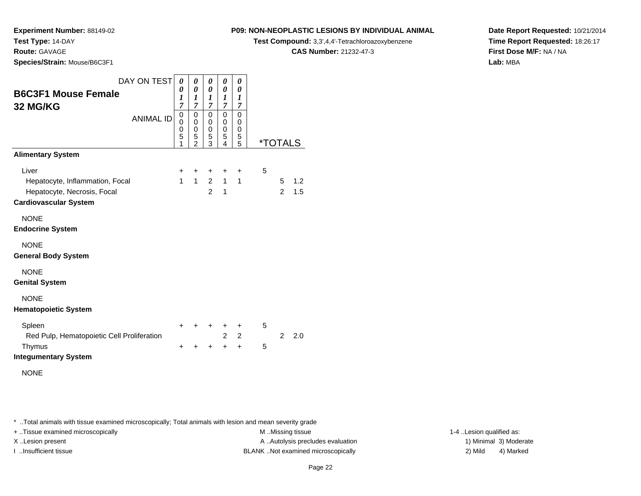## **Route:** GAVAGE

**Species/Strain:** Mouse/B6C3F1

## **P09: NON-NEOPLASTIC LESIONS BY INDIVIDUAL ANIMAL**

**Test Compound:** 3,3',4,4'-Tetrachloroazoxybenzene

**CAS Number:** 21232-47-3

**Date Report Requested:** 10/21/2014**Time Report Requested:** 18:26:17**First Dose M/F:** NA / NA**Lab:** MBA

| <b>B6C3F1 Mouse Female</b><br>32 MG/KG<br><b>Alimentary System</b>                                      | DAY ON TEST<br><b>ANIMAL ID</b> | $\boldsymbol{\theta}$<br>0<br>1<br>$\overline{7}$<br>$\mathbf 0$<br>$\Omega$<br>$\mathbf 0$<br>5<br>1 | 0<br>0<br>$\boldsymbol{l}$<br>$\overline{7}$<br>$\mathbf 0$<br>$\mathbf 0$<br>$\mathbf 0$<br>5<br>$\mathcal{P}$ | 0<br>0<br>1<br>7<br>0<br>0<br>$\mathbf 0$<br>5<br>3 | 0<br>0<br>$\boldsymbol{l}$<br>$\overline{7}$<br>$\Omega$<br>0<br>0<br>5<br>$\overline{\mathbf{A}}$ | 0<br>0<br>1<br>7<br>$\mathbf 0$<br>0<br>$\mathbf 0$<br>5<br>5 |   | <i><b>*TOTALS</b></i> |            |
|---------------------------------------------------------------------------------------------------------|---------------------------------|-------------------------------------------------------------------------------------------------------|-----------------------------------------------------------------------------------------------------------------|-----------------------------------------------------|----------------------------------------------------------------------------------------------------|---------------------------------------------------------------|---|-----------------------|------------|
| Liver<br>Hepatocyte, Inflammation, Focal<br>Hepatocyte, Necrosis, Focal<br><b>Cardiovascular System</b> |                                 | +<br>$\mathbf{1}$                                                                                     | $\ddot{}$<br>$\mathbf{1}$                                                                                       | +<br>$2^{\circ}$<br>$\overline{2}$                  | +<br>$\mathbf{1}$<br>$\mathbf{1}$                                                                  | $\ddot{}$<br>$\mathbf{1}$                                     | 5 | 5<br>$\overline{2}$   | 1.2<br>1.5 |
| <b>NONE</b><br><b>Endocrine System</b>                                                                  |                                 |                                                                                                       |                                                                                                                 |                                                     |                                                                                                    |                                                               |   |                       |            |
| <b>NONE</b><br><b>General Body System</b>                                                               |                                 |                                                                                                       |                                                                                                                 |                                                     |                                                                                                    |                                                               |   |                       |            |
| <b>NONE</b><br><b>Genital System</b>                                                                    |                                 |                                                                                                       |                                                                                                                 |                                                     |                                                                                                    |                                                               |   |                       |            |
| <b>NONE</b><br><b>Hematopoietic System</b>                                                              |                                 |                                                                                                       |                                                                                                                 |                                                     |                                                                                                    |                                                               |   |                       |            |
| Spleen<br>Red Pulp, Hematopoietic Cell Proliferation                                                    |                                 | $\ddot{}$                                                                                             |                                                                                                                 | ٠                                                   | +<br>$\overline{2}$                                                                                | $\ddot{}$<br>$\overline{2}$                                   | 5 | 2                     | 2.0        |
| Thymus<br><b>Integumentary System</b><br><b>NONE</b>                                                    |                                 | $\div$                                                                                                |                                                                                                                 |                                                     | $\ddot{}$                                                                                          | $\ddot{}$                                                     | 5 |                       |            |

\* ..Total animals with tissue examined microscopically; Total animals with lesion and mean severity grade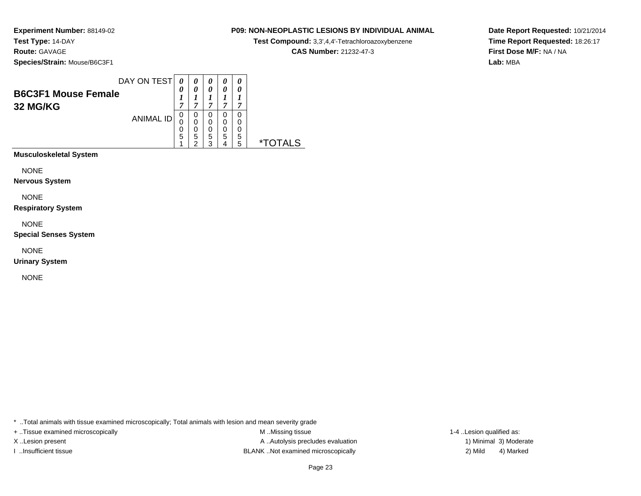## **P09: NON-NEOPLASTIC LESIONS BY INDIVIDUAL ANIMAL**

**Test Compound:** 3,3',4,4'-Tetrachloroazoxybenzene

**CAS Number:** 21232-47-3

**Date Report Requested:** 10/21/2014**Time Report Requested:** 18:26:17**First Dose M/F:** NA / NA**Lab:** MBA

| <b>B6C3F1 Mouse Female</b><br>32 MG/KG | DAY ON TEST      | $\theta$<br>7    | 0                     | 0<br>$\boldsymbol{\theta}$<br>7 | 0<br>0<br>7 |        |  |
|----------------------------------------|------------------|------------------|-----------------------|---------------------------------|-------------|--------|--|
|                                        | <b>ANIMAL ID</b> | 0<br>0<br>0<br>5 | 0<br>0<br>0<br>5<br>⌒ | 0<br>0<br>0<br>5<br>ว           | 0<br>0<br>5 | 5<br>5 |  |
| <b>Musculoskeletal System</b>          |                  |                  |                       |                                 |             |        |  |

NONE

**Nervous System**

NONE

**Respiratory System**

NONE

**Special Senses System**

NONE

**Urinary System**

NONE

\* ..Total animals with tissue examined microscopically; Total animals with lesion and mean severity grade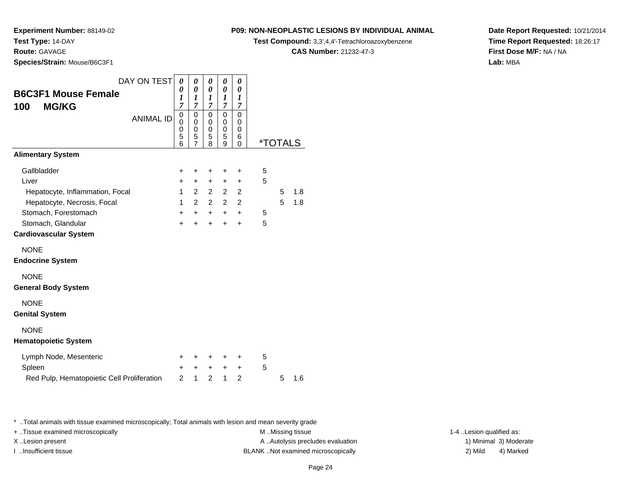**Route:** GAVAGE

**Species/Strain:** Mouse/B6C3F1

## **P09: NON-NEOPLASTIC LESIONS BY INDIVIDUAL ANIMAL**

**Test Compound:** 3,3',4,4'-Tetrachloroazoxybenzene

**CAS Number:** 21232-47-3

**Date Report Requested:** 10/21/2014**Time Report Requested:** 18:26:17**First Dose M/F:** NA / NA**Lab:** MBA

| <b>B6C3F1 Mouse Female</b><br><b>MG/KG</b><br>100                                                                                                                                   | DAY ON TEST<br><b>ANIMAL ID</b> | 0<br>0<br>1<br>$\overline{7}$<br>0<br>0<br>0<br>5<br>6        | 0<br>$\pmb{\theta}$<br>$\boldsymbol{l}$<br>$\overline{7}$<br>$\mathbf 0$<br>0<br>0<br>5<br>$\overline{7}$ | 0<br>$\boldsymbol{\theta}$<br>1<br>$\overline{7}$<br>$\mathbf 0$<br>0<br>0<br>5<br>8 | 0<br>0<br>1<br>$\overline{7}$<br>$\mathbf 0$<br>0<br>0<br>5<br>9 | 0<br>0<br>$\boldsymbol{l}$<br>7<br>0<br>0<br>0<br>6<br>0                     | <i><b>*TOTALS</b></i> |        |            |
|-------------------------------------------------------------------------------------------------------------------------------------------------------------------------------------|---------------------------------|---------------------------------------------------------------|-----------------------------------------------------------------------------------------------------------|--------------------------------------------------------------------------------------|------------------------------------------------------------------|------------------------------------------------------------------------------|-----------------------|--------|------------|
| <b>Alimentary System</b>                                                                                                                                                            |                                 |                                                               |                                                                                                           |                                                                                      |                                                                  |                                                                              |                       |        |            |
| Gallbladder<br>Liver<br>Hepatocyte, Inflammation, Focal<br>Hepatocyte, Necrosis, Focal<br>Stomach, Forestomach<br>Stomach, Glandular<br><b>Cardiovascular System</b><br><b>NONE</b> |                                 | +<br>$\ddot{}$<br>$\mathbf{1}$<br>1<br>$\ddot{}$<br>$\ddot{}$ | +<br>$\ddot{}$<br>$\overline{2}$<br>$\mathcal{P}$<br>$\ddot{}$<br>$\ddot{}$                               | +<br>$\ddot{}$<br>$\overline{2}$<br>$\overline{2}$<br>$+$<br>$\ddot{}$               | +<br>$\ddot{}$<br>$\overline{2}$<br>2<br>$\ddot{}$<br>$\ddot{}$  | $\ddot{}$<br>+<br>$\overline{2}$<br>$\overline{2}$<br>$\ddot{}$<br>$\ddot{}$ | 5<br>5<br>5<br>5      | 5<br>5 | 1.8<br>1.8 |
| <b>Endocrine System</b>                                                                                                                                                             |                                 |                                                               |                                                                                                           |                                                                                      |                                                                  |                                                                              |                       |        |            |
| <b>NONE</b><br><b>General Body System</b>                                                                                                                                           |                                 |                                                               |                                                                                                           |                                                                                      |                                                                  |                                                                              |                       |        |            |
| <b>NONE</b><br><b>Genital System</b>                                                                                                                                                |                                 |                                                               |                                                                                                           |                                                                                      |                                                                  |                                                                              |                       |        |            |
| <b>NONE</b><br><b>Hematopoietic System</b>                                                                                                                                          |                                 |                                                               |                                                                                                           |                                                                                      |                                                                  |                                                                              |                       |        |            |
| Lymph Node, Mesenteric<br>Spleen<br>Red Pulp, Hematopoietic Cell Proliferation                                                                                                      |                                 | ÷<br>+<br>$\overline{2}$                                      | ÷<br>+<br>1                                                                                               | +<br>$\ddot{}$<br>$\overline{2}$                                                     | ÷<br>+<br>1                                                      | ÷<br>+<br>$\overline{2}$                                                     | 5<br>5                | 5      | 1.6        |

\* ..Total animals with tissue examined microscopically; Total animals with lesion and mean severity grade